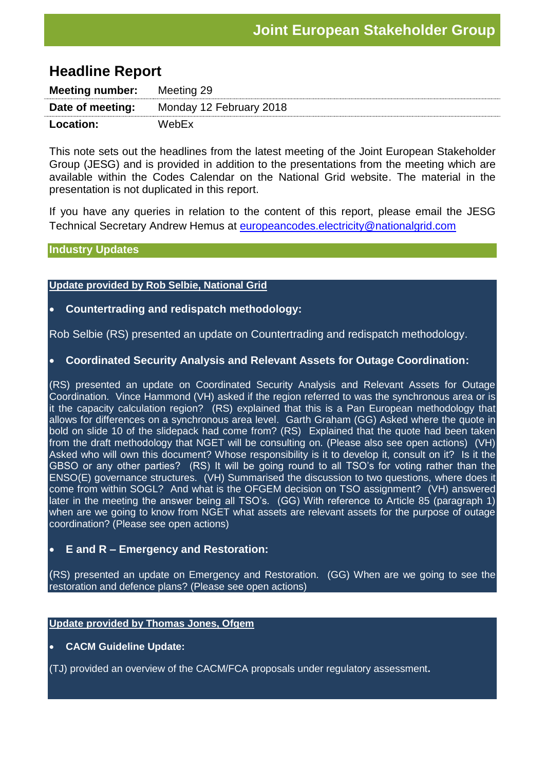# **Headline Report**

| <b>Meeting number:</b> Meeting 29 |                         |
|-----------------------------------|-------------------------|
| Date of meeting:                  | Monday 12 February 2018 |
| <b>Location:</b>                  | WebEx                   |

This note sets out the headlines from the latest meeting of the Joint European Stakeholder Group (JESG) and is provided in addition to the presentations from the meeting which are available within the Codes Calendar on the National Grid website. The material in the presentation is not duplicated in this report.

If you have any queries in relation to the content of this report, please email the JESG Technical Secretary Andrew Hemus at [europeancodes.electricity@nationalgrid.com](mailto:europeancodes.electricity@nationalgrid.com)

#### **Industry Updates**

#### **Update provided by Rob Selbie, National Grid**

## **Countertrading and redispatch methodology:**

Rob Selbie (RS) presented an update on Countertrading and redispatch methodology.

### **Coordinated Security Analysis and Relevant Assets for Outage Coordination:**

(RS) presented an update on Coordinated Security Analysis and Relevant Assets for Outage Coordination. Vince Hammond (VH) asked if the region referred to was the synchronous area or is it the capacity calculation region? (RS) explained that this is a Pan European methodology that allows for differences on a synchronous area level. Garth Graham (GG) Asked where the quote in bold on slide 10 of the slidepack had come from? (RS) Explained that the quote had been taken from the draft methodology that NGET will be consulting on. (Please also see open actions) (VH) Asked who will own this document? Whose responsibility is it to develop it, consult on it? Is it the GBSO or any other parties? (RS) It will be going round to all TSO's for voting rather than the ENSO(E) governance structures. (VH) Summarised the discussion to two questions, where does it come from within SOGL? And what is the OFGEM decision on TSO assignment? (VH) answered later in the meeting the answer being all TSO's. (GG) With reference to Article 85 (paragraph 1) when are we going to know from NGET what assets are relevant assets for the purpose of outage coordination? (Please see open actions)

# **E and R – Emergency and Restoration:**

(RS) presented an update on Emergency and Restoration. (GG) When are we going to see the restoration and defence plans? (Please see open actions)

#### **Update provided by Thomas Jones, Ofgem**

### **CACM Guideline Update:**

(TJ) provided an overview of the CACM/FCA proposals under regulatory assessment**.**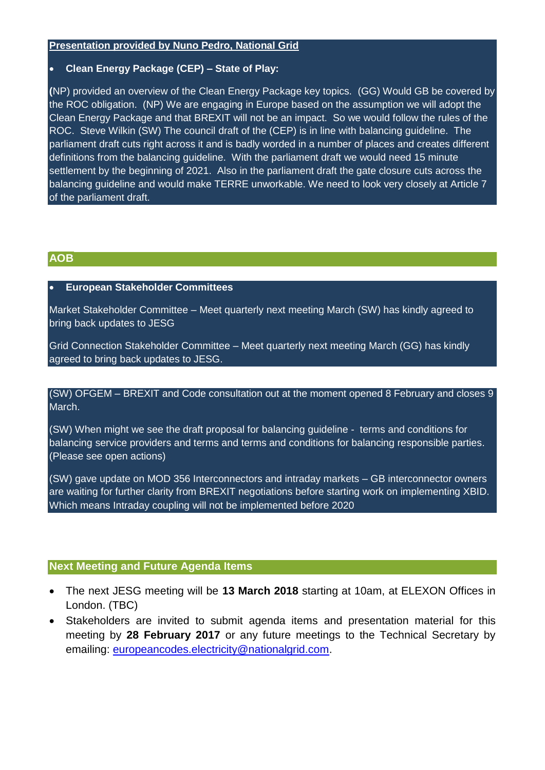#### **Presentation provided by Nuno Pedro, National Grid**

#### **Clean Energy Package (CEP) – State of Play:**

**(**NP) provided an overview of the Clean Energy Package key topics. (GG) Would GB be covered by the ROC obligation. (NP) We are engaging in Europe based on the assumption we will adopt the Clean Energy Package and that BREXIT will not be an impact. So we would follow the rules of the ROC. Steve Wilkin (SW) The council draft of the (CEP) is in line with balancing guideline. The parliament draft cuts right across it and is badly worded in a number of places and creates different definitions from the balancing guideline. With the parliament draft we would need 15 minute settlement by the beginning of 2021. Also in the parliament draft the gate closure cuts across the balancing guideline and would make TERRE unworkable. We need to look very closely at Article 7 of the parliament draft.

## **AOB**

#### **European Stakeholder Committees**

Market Stakeholder Committee – Meet quarterly next meeting March (SW) has kindly agreed to bring back updates to JESG

Grid Connection Stakeholder Committee – Meet quarterly next meeting March (GG) has kindly agreed to bring back updates to JESG.

(SW) OFGEM – BREXIT and Code consultation out at the moment opened 8 February and closes 9 March.

(SW) When might we see the draft proposal for balancing guideline - terms and conditions for balancing service providers and terms and terms and conditions for balancing responsible parties. (Please see open actions)

(SW) gave update on MOD 356 Interconnectors and intraday markets – GB interconnector owners are waiting for further clarity from BREXIT negotiations before starting work on implementing XBID. Which means Intraday coupling will not be implemented before 2020

### **Next Meeting and Future Agenda Items**

- The next JESG meeting will be **13 March 2018** starting at 10am, at ELEXON Offices in London. (TBC)
- Stakeholders are invited to submit agenda items and presentation material for this meeting by **28 February 2017** or any future meetings to the Technical Secretary by emailing: [europeancodes.electricity@nationalgrid.com.](mailto:europeancodes.electricity@nationalgrid.com)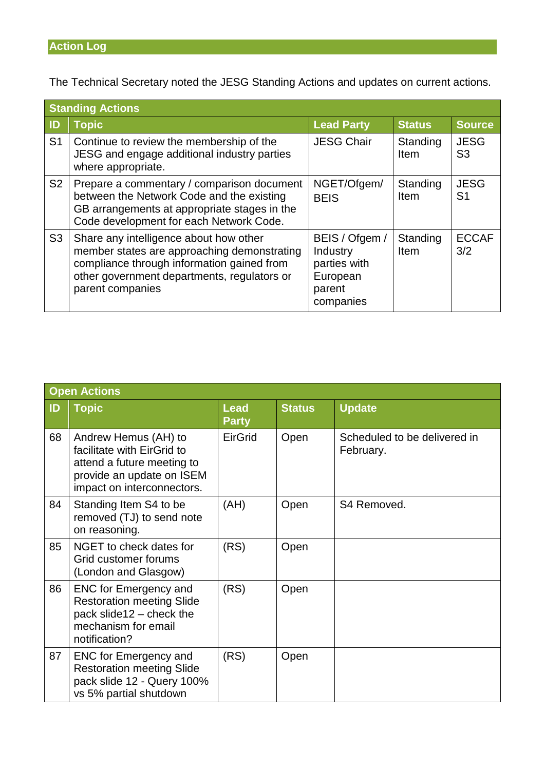# **Action Log**

The Technical Secretary noted the JESG Standing Actions and updates on current actions.

| <b>Standing Actions</b> |                                                                                                                                                                                                        |                                                                               |                  |                               |
|-------------------------|--------------------------------------------------------------------------------------------------------------------------------------------------------------------------------------------------------|-------------------------------------------------------------------------------|------------------|-------------------------------|
| $\blacksquare$          | <b>Topic</b>                                                                                                                                                                                           | <b>Lead Party</b>                                                             | <b>Status</b>    | <b>Source</b>                 |
| S <sub>1</sub>          | Continue to review the membership of the<br>JESG and engage additional industry parties<br>where appropriate.                                                                                          | <b>JESG Chair</b>                                                             | Standing<br>Item | <b>JESG</b><br>S <sub>3</sub> |
| S <sub>2</sub>          | Prepare a commentary / comparison document<br>between the Network Code and the existing<br>GB arrangements at appropriate stages in the<br>Code development for each Network Code.                     | NGET/Ofgem/<br><b>BEIS</b>                                                    | Standing<br>Item | <b>JESG</b><br>S <sub>1</sub> |
| S <sub>3</sub>          | Share any intelligence about how other<br>member states are approaching demonstrating<br>compliance through information gained from<br>other government departments, regulators or<br>parent companies | BEIS / Ofgem /<br>Industry<br>parties with<br>European<br>parent<br>companies | Standing<br>Item | <b>ECCAF</b><br>3/2           |

| <b>Open Actions</b> |                                                                                                                                             |                             |               |                                           |
|---------------------|---------------------------------------------------------------------------------------------------------------------------------------------|-----------------------------|---------------|-------------------------------------------|
| ID                  | <b>Topic</b>                                                                                                                                | <b>Lead</b><br><b>Party</b> | <b>Status</b> | <b>Update</b>                             |
| 68                  | Andrew Hemus (AH) to<br>facilitate with EirGrid to<br>attend a future meeting to<br>provide an update on ISEM<br>impact on interconnectors. | EirGrid                     | Open          | Scheduled to be delivered in<br>February. |
| 84                  | Standing Item S4 to be<br>removed (TJ) to send note<br>on reasoning.                                                                        | (AH)                        | Open          | S4 Removed.                               |
| 85                  | NGET to check dates for<br>Grid customer forums<br>(London and Glasgow)                                                                     | (RS)                        | Open          |                                           |
| 86                  | <b>ENC for Emergency and</b><br><b>Restoration meeting Slide</b><br>pack slide12 - check the<br>mechanism for email<br>notification?        | (RS)                        | Open          |                                           |
| 87                  | <b>ENC for Emergency and</b><br><b>Restoration meeting Slide</b><br>pack slide 12 - Query 100%<br>vs 5% partial shutdown                    | (RS)                        | Open          |                                           |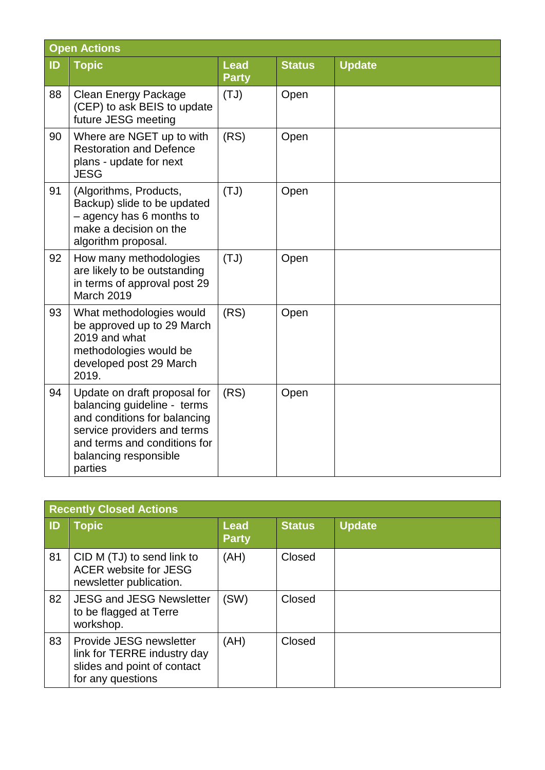| <b>Open Actions</b> |                                                                                                                                                                                                |                             |               |               |
|---------------------|------------------------------------------------------------------------------------------------------------------------------------------------------------------------------------------------|-----------------------------|---------------|---------------|
| ID                  | <b>Topic</b>                                                                                                                                                                                   | <b>Lead</b><br><b>Party</b> | <b>Status</b> | <b>Update</b> |
| 88                  | <b>Clean Energy Package</b><br>(CEP) to ask BEIS to update<br>future JESG meeting                                                                                                              | (TJ)                        | Open          |               |
| 90                  | Where are NGET up to with<br><b>Restoration and Defence</b><br>plans - update for next<br><b>JESG</b>                                                                                          | (RS)                        | Open          |               |
| 91                  | (Algorithms, Products,<br>Backup) slide to be updated<br>- agency has 6 months to<br>make a decision on the<br>algorithm proposal.                                                             | (TJ)                        | Open          |               |
| 92                  | How many methodologies<br>are likely to be outstanding<br>in terms of approval post 29<br>March 2019                                                                                           | (TJ)                        | Open          |               |
| 93                  | What methodologies would<br>be approved up to 29 March<br>2019 and what<br>methodologies would be<br>developed post 29 March<br>2019.                                                          | (RS)                        | Open          |               |
| 94                  | Update on draft proposal for<br>balancing guideline - terms<br>and conditions for balancing<br>service providers and terms<br>and terms and conditions for<br>balancing responsible<br>parties | (RS)                        | Open          |               |

| <b>Recently Closed Actions</b> |                                                                                                            |                             |               |               |
|--------------------------------|------------------------------------------------------------------------------------------------------------|-----------------------------|---------------|---------------|
| ID                             | <b>Topic</b>                                                                                               | <b>Lead</b><br><b>Party</b> | <b>Status</b> | <b>Update</b> |
| 81                             | CID M (TJ) to send link to<br>ACER website for JESG<br>newsletter publication.                             | (AH)                        | Closed        |               |
| 82                             | <b>JESG and JESG Newsletter</b><br>to be flagged at Terre<br>workshop.                                     | (SW)                        | Closed        |               |
| 83                             | Provide JESG newsletter<br>link for TERRE industry day<br>slides and point of contact<br>for any questions | (AH)                        | Closed        |               |